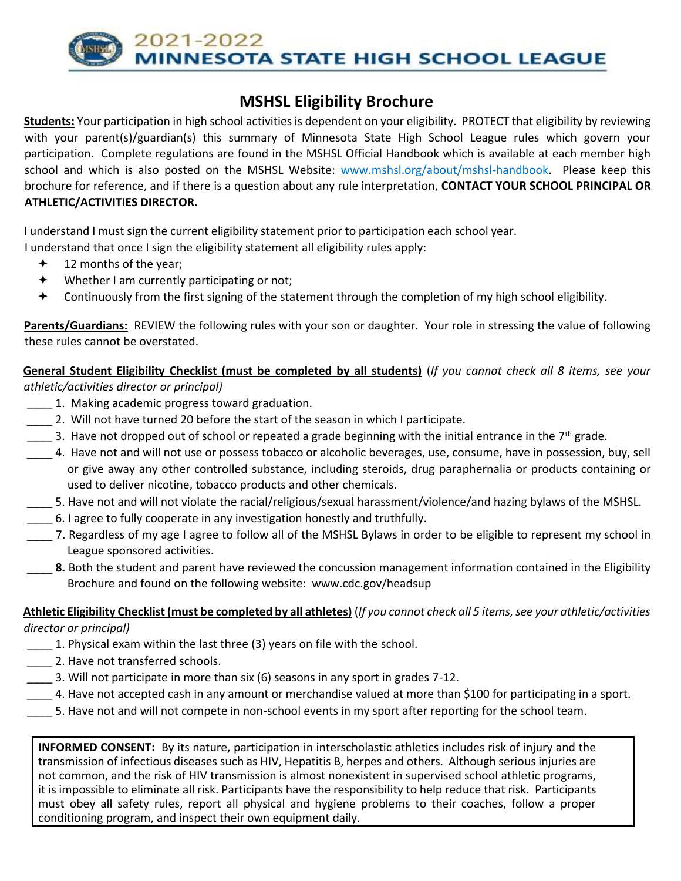2021-2022 **NNESOTA STATE HIGH SCHOOL LEAGUE** 

# **MSHSL Eligibility Brochure**

**Students:** Your participation in high school activities is dependent on your eligibility. PROTECT that eligibility by reviewing with your parent(s)/guardian(s) this summary of Minnesota State High School League rules which govern your participation. Complete regulations are found in the MSHSL Official Handbook which is available at each member high school and which is also posted on the MSHSL Website: [www.mshsl.org/about/mshsl-handbook.](http://www.mshsl.org/about/mshsl-handbook) Please keep this brochure for reference, and if there is a question about any rule interpretation, **CONTACT YOUR SCHOOL PRINCIPAL OR ATHLETIC/ACTIVITIES DIRECTOR.** 

I understand I must sign the current eligibility statement prior to participation each school year.

I understand that once I sign the eligibility statement all eligibility rules apply:

- $+$  12 months of the year;
- Whether I am currently participating or not;
- Continuously from the first signing of the statement through the completion of my high school eligibility.

**Parents/Guardians:** REVIEW the following rules with your son or daughter. Your role in stressing the value of following these rules cannot be overstated.

**General Student Eligibility Checklist (must be completed by all students)** (*If you cannot check all 8 items, see your athletic/activities director or principal)* 

- \_\_\_\_ 1. Making academic progress toward graduation.
- \_\_\_\_ 2. Will not have turned 20 before the start of the season in which I participate.
- $\sim$  3. Have not dropped out of school or repeated a grade beginning with the initial entrance in the 7<sup>th</sup> grade.
- \_\_\_\_ 4. Have not and will not use or possess tobacco or alcoholic beverages, use, consume, have in possession, buy, sell or give away any other controlled substance, including steroids, drug paraphernalia or products containing or used to deliver nicotine, tobacco products and other chemicals.
- \_\_\_\_ 5. Have not and will not violate the racial/religious/sexual harassment/violence/and hazing bylaws of the MSHSL.
- \_\_\_\_ 6. I agree to fully cooperate in any investigation honestly and truthfully.
- \_\_\_\_ 7. Regardless of my age I agree to follow all of the MSHSL Bylaws in order to be eligible to represent my school in League sponsored activities.
- **8.** Both the student and parent have reviewed the concussion management information contained in the Eligibility Brochure and found on the following website:www.cdc.gov/headsup

**Athletic Eligibility Checklist (must be completed by all athletes)** (*If you cannot check all 5 items, see your athletic/activities* 

*director or principal)* 

- \_\_\_\_ 1. Physical exam within the last three (3) years on file with the school.
- 2. Have not transferred schools.
- \_\_\_\_ 3. Will not participate in more than six (6) seasons in any sport in grades 7-12.
- \_\_\_\_ 4. Have not accepted cash in any amount or merchandise valued at more than \$100 for participating in a sport.
- \_\_\_\_ 5. Have not and will not compete in non-school events in my sport after reporting for the school team.

**INFORMED CONSENT:** By its nature, participation in interscholastic athletics includes risk of injury and the transmission of infectious diseases such as HIV, Hepatitis B, herpes and others. Although serious injuries are not common, and the risk of HIV transmission is almost nonexistent in supervised school athletic programs, it is impossible to eliminate all risk. Participants have the responsibility to help reduce that risk. Participants must obey all safety rules, report all physical and hygiene problems to their coaches, follow a proper conditioning program, and inspect their own equipment daily.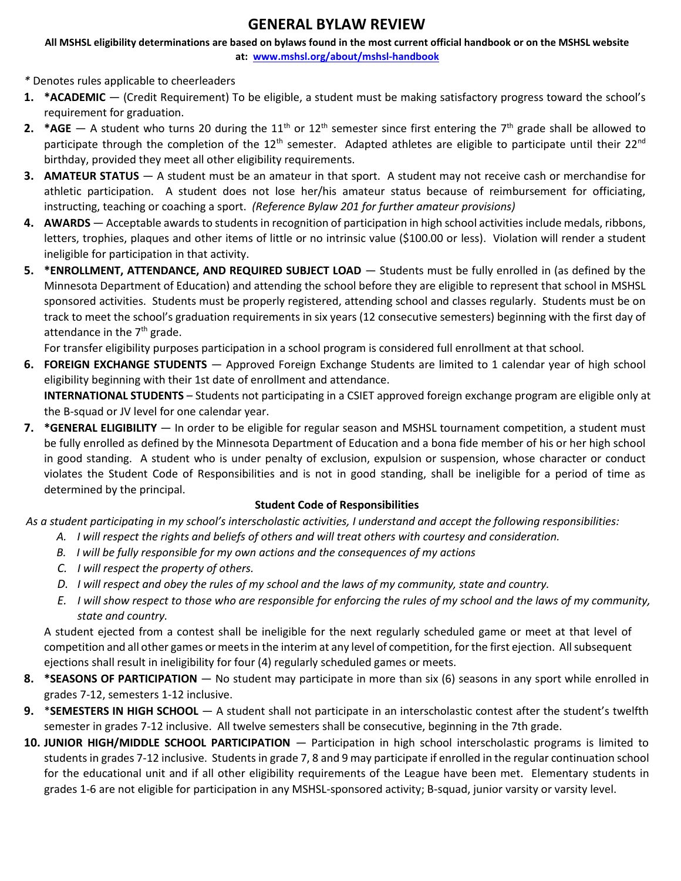# **GENERAL BYLAW REVIEW**

**All MSHSL eligibility determinations are based on bylaws found in the most current official handbook or on the MSHSL website at: [www.mshsl.org/about/mshsl-handbook](http://www.mshsl.org/about/mshsl-handbook)**

*\** Denotes rules applicable to cheerleaders

- **1. \*ACADEMIC** (Credit Requirement) To be eligible, a student must be making satisfactory progress toward the school's requirement for graduation.
- **2. \*AGE** A student who turns 20 during the 11<sup>th</sup> or 12<sup>th</sup> semester since first entering the 7<sup>th</sup> grade shall be allowed to participate through the completion of the 12<sup>th</sup> semester. Adapted athletes are eligible to participate until their 22<sup>nd</sup> birthday, provided they meet all other eligibility requirements.
- **3. AMATEUR STATUS** A student must be an amateur in that sport. A student may not receive cash or merchandise for athletic participation. A student does not lose her/his amateur status because of reimbursement for officiating, instructing, teaching or coaching a sport. *(Reference Bylaw 201 for further amateur provisions)*
- **4. AWARDS** Acceptable awards to students in recognition of participation in high school activities include medals, ribbons, letters, trophies, plaques and other items of little or no intrinsic value (\$100.00 or less). Violation will render a student ineligible for participation in that activity.
- **5. \*ENROLLMENT, ATTENDANCE, AND REQUIRED SUBJECT LOAD** Students must be fully enrolled in (as defined by the Minnesota Department of Education) and attending the school before they are eligible to represent that school in MSHSL sponsored activities. Students must be properly registered, attending school and classes regularly. Students must be on track to meet the school's graduation requirements in six years (12 consecutive semesters) beginning with the first day of attendance in the  $7<sup>th</sup>$  grade.

For transfer eligibility purposes participation in a school program is considered full enrollment at that school.

**6. FOREIGN EXCHANGE STUDENTS** — Approved Foreign Exchange Students are limited to 1 calendar year of high school eligibility beginning with their 1st date of enrollment and attendance.

**INTERNATIONAL STUDENTS** – Students not participating in a CSIET approved foreign exchange program are eligible only at the B-squad or JV level for one calendar year.

**7. \*GENERAL ELIGIBILITY** — In order to be eligible for regular season and MSHSL tournament competition, a student must be fully enrolled as defined by the Minnesota Department of Education and a bona fide member of his or her high school in good standing. A student who is under penalty of exclusion, expulsion or suspension, whose character or conduct violates the Student Code of Responsibilities and is not in good standing, shall be ineligible for a period of time as determined by the principal.

### **Student Code of Responsibilities**

*As a student participating in my school's interscholastic activities, I understand and accept the following responsibilities:*

- *A. I will respect the rights and beliefs of others and will treat others with courtesy and consideration.*
- *B. I will be fully responsible for my own actions and the consequences of my actions*
- *C. I will respect the property of others.*
- *D. I will respect and obey the rules of my school and the laws of my community, state and country.*
- *E. I will show respect to those who are responsible for enforcing the rules of my school and the laws of my community, state and country.*

A student ejected from a contest shall be ineligible for the next regularly scheduled game or meet at that level of competition and all other games or meets in the interim at any level of competition, for the first ejection. All subsequent ejections shall result in ineligibility for four (4) regularly scheduled games or meets.

- **8. \*SEASONS OF PARTICIPATION** No student may participate in more than six (6) seasons in any sport while enrolled in grades 7-12, semesters 1-12 inclusive.
- **9.** \***SEMESTERS IN HIGH SCHOOL** A student shall not participate in an interscholastic contest after the student's twelfth semester in grades 7-12 inclusive. All twelve semesters shall be consecutive, beginning in the 7th grade.
- **10. JUNIOR HIGH/MIDDLE SCHOOL PARTICIPATION** Participation in high school interscholastic programs is limited to students in grades 7-12 inclusive. Students in grade 7, 8 and 9 may participate if enrolled in the regular continuation school for the educational unit and if all other eligibility requirements of the League have been met. Elementary students in grades 1-6 are not eligible for participation in any MSHSL-sponsored activity; B-squad, junior varsity or varsity level.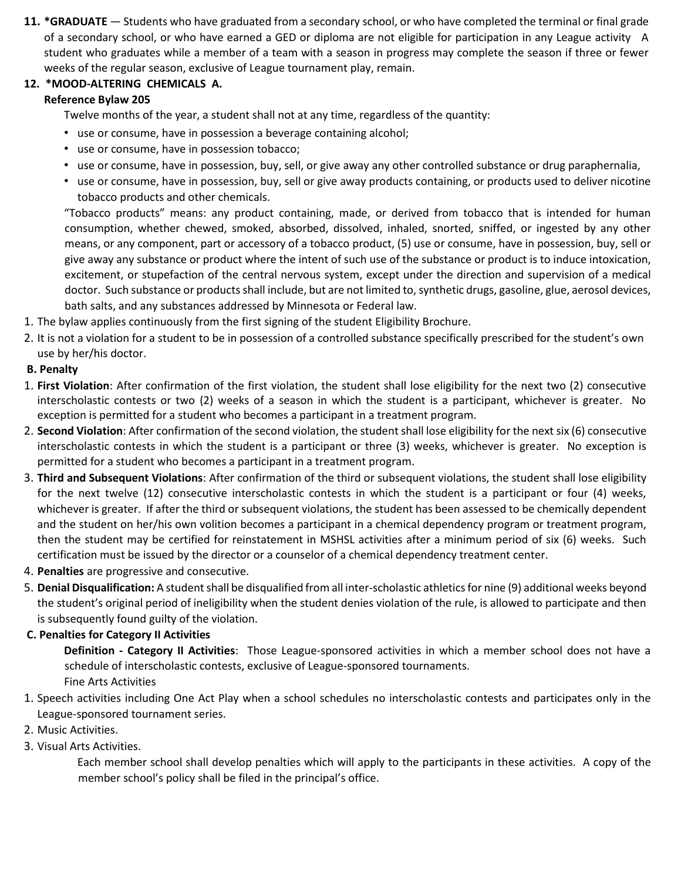**11. \*GRADUATE** — Students who have graduated from a secondary school, or who have completed the terminal or final grade of a secondary school, or who have earned a GED or diploma are not eligible for participation in any League activity A student who graduates while a member of a team with a season in progress may complete the season if three or fewer weeks of the regular season, exclusive of League tournament play, remain.

# **12. \*MOOD-ALTERING CHEMICALS A.**

# **Reference Bylaw 205**

Twelve months of the year, a student shall not at any time, regardless of the quantity:

- use or consume, have in possession a beverage containing alcohol;
- use or consume, have in possession tobacco;
- use or consume, have in possession, buy, sell, or give away any other controlled substance or drug paraphernalia,
- use or consume, have in possession, buy, sell or give away products containing, or products used to deliver nicotine tobacco products and other chemicals.

"Tobacco products" means: any product containing, made, or derived from tobacco that is intended for human consumption, whether chewed, smoked, absorbed, dissolved, inhaled, snorted, sniffed, or ingested by any other means, or any component, part or accessory of a tobacco product, (5) use or consume, have in possession, buy, sell or give away any substance or product where the intent of such use of the substance or product is to induce intoxication, excitement, or stupefaction of the central nervous system, except under the direction and supervision of a medical doctor. Such substance or products shall include, but are not limited to, synthetic drugs, gasoline, glue, aerosol devices, bath salts, and any substances addressed by Minnesota or Federal law.

- 1. The bylaw applies continuously from the first signing of the student Eligibility Brochure.
- 2. It is not a violation for a student to be in possession of a controlled substance specifically prescribed for the student's own use by her/his doctor.

# **B. Penalty**

- 1. **First Violation**: After confirmation of the first violation, the student shall lose eligibility for the next two (2) consecutive interscholastic contests or two (2) weeks of a season in which the student is a participant, whichever is greater. No exception is permitted for a student who becomes a participant in a treatment program.
- 2. **Second Violation**: After confirmation of the second violation, the student shall lose eligibility for the next six (6) consecutive interscholastic contests in which the student is a participant or three (3) weeks, whichever is greater. No exception is permitted for a student who becomes a participant in a treatment program.
- 3. **Third and Subsequent Violations**: After confirmation of the third or subsequent violations, the student shall lose eligibility for the next twelve (12) consecutive interscholastic contests in which the student is a participant or four (4) weeks, whichever is greater. If after the third or subsequent violations, the student has been assessed to be chemically dependent and the student on her/his own volition becomes a participant in a chemical dependency program or treatment program, then the student may be certified for reinstatement in MSHSL activities after a minimum period of six (6) weeks. Such certification must be issued by the director or a counselor of a chemical dependency treatment center.
- 4. **Penalties** are progressive and consecutive.
- 5. **Denial Disqualification:** A student shall be disqualified from all inter-scholastic athletics for nine (9) additional weeks beyond the student's original period of ineligibility when the student denies violation of the rule, is allowed to participate and then is subsequently found guilty of the violation.

# **C. Penalties for Category II Activities**

**Definition - Category II Activities**: Those League-sponsored activities in which a member school does not have a schedule of interscholastic contests, exclusive of League-sponsored tournaments. Fine Arts Activities

- 1. Speech activities including One Act Play when a school schedules no interscholastic contests and participates only in the League-sponsored tournament series.
- 2. Music Activities.
- 3. Visual Arts Activities.

Each member school shall develop penalties which will apply to the participants in these activities. A copy of the member school's policy shall be filed in the principal's office.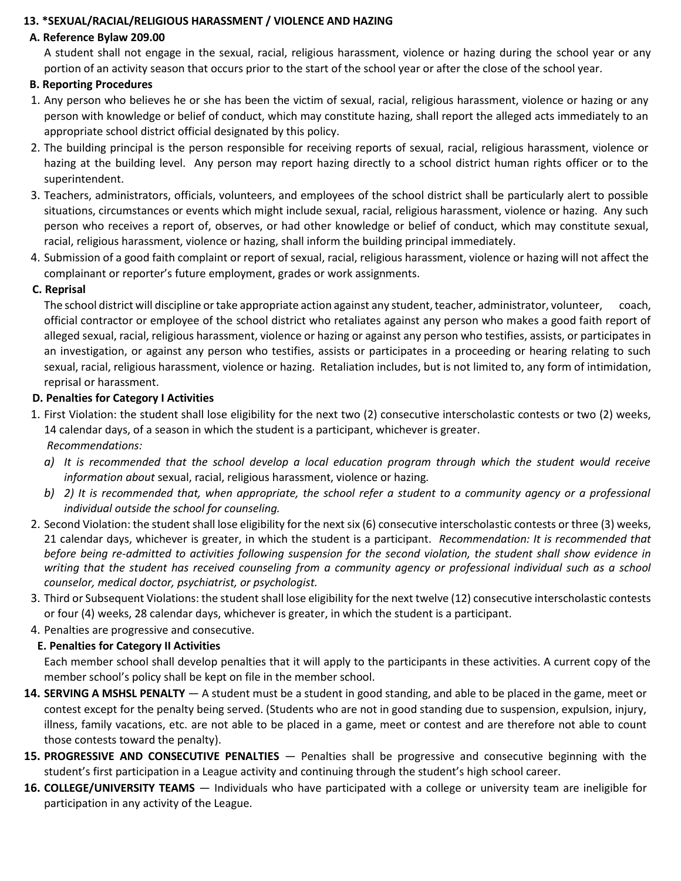### **13. \*SEXUAL/RACIAL/RELIGIOUS HARASSMENT / VIOLENCE AND HAZING**

# **A. Reference Bylaw 209.00**

 A student shall not engage in the sexual, racial, religious harassment, violence or hazing during the school year or any portion of an activity season that occurs prior to the start of the school year or after the close of the school year.

### **B. Reporting Procedures**

- 1. Any person who believes he or she has been the victim of sexual, racial, religious harassment, violence or hazing or any person with knowledge or belief of conduct, which may constitute hazing, shall report the alleged acts immediately to an appropriate school district official designated by this policy.
- 2. The building principal is the person responsible for receiving reports of sexual, racial, religious harassment, violence or hazing at the building level. Any person may report hazing directly to a school district human rights officer or to the superintendent.
- 3. Teachers, administrators, officials, volunteers, and employees of the school district shall be particularly alert to possible situations, circumstances or events which might include sexual, racial, religious harassment, violence or hazing. Any such person who receives a report of, observes, or had other knowledge or belief of conduct, which may constitute sexual, racial, religious harassment, violence or hazing, shall inform the building principal immediately.
- 4. Submission of a good faith complaint or report of sexual, racial, religious harassment, violence or hazing will not affect the complainant or reporter's future employment, grades or work assignments.

#### **C. Reprisal**

 The school district will discipline or take appropriate action against any student, teacher, administrator, volunteer, coach, official contractor or employee of the school district who retaliates against any person who makes a good faith report of alleged sexual, racial, religious harassment, violence or hazing or against any person who testifies, assists, or participates in an investigation, or against any person who testifies, assists or participates in a proceeding or hearing relating to such sexual, racial, religious harassment, violence or hazing. Retaliation includes, but is not limited to, any form of intimidation, reprisal or harassment.

#### **D. Penalties for Category I Activities**

- 1. First Violation: the student shall lose eligibility for the next two (2) consecutive interscholastic contests or two (2) weeks, 14 calendar days, of a season in which the student is a participant, whichever is greater. *Recommendations:* 
	- *a) It is recommended that the school develop a local education program through which the student would receive information about* sexual, racial, religious harassment, violence or hazing*.*
	- *b) 2) It is recommended that, when appropriate, the school refer a student to a community agency or a professional individual outside the school for counseling.*
- 2. Second Violation: the student shall lose eligibility for the next six (6) consecutive interscholastic contests or three (3) weeks, 21 calendar days, whichever is greater, in which the student is a participant. *Recommendation: It is recommended that before being re-admitted to activities following suspension for the second violation, the student shall show evidence in writing that the student has received counseling from a community agency or professional individual such as a school counselor, medical doctor, psychiatrist, or psychologist.*
- 3. Third or Subsequent Violations: the student shall lose eligibility for the next twelve (12) consecutive interscholastic contests or four (4) weeks, 28 calendar days, whichever is greater, in which the student is a participant.
- 4. Penalties are progressive and consecutive.

### **E. Penalties for Category II Activities**

Each member school shall develop penalties that it will apply to the participants in these activities. A current copy of the member school's policy shall be kept on file in the member school.

- **14. SERVING A MSHSL PENALTY**  A student must be a student in good standing, and able to be placed in the game, meet or contest except for the penalty being served. (Students who are not in good standing due to suspension, expulsion, injury, illness, family vacations, etc. are not able to be placed in a game, meet or contest and are therefore not able to count those contests toward the penalty).
- **15. PROGRESSIVE AND CONSECUTIVE PENALTIES**  Penalties shall be progressive and consecutive beginning with the student's first participation in a League activity and continuing through the student's high school career.
- **16. COLLEGE/UNIVERSITY TEAMS** Individuals who have participated with a college or university team are ineligible for participation in any activity of the League.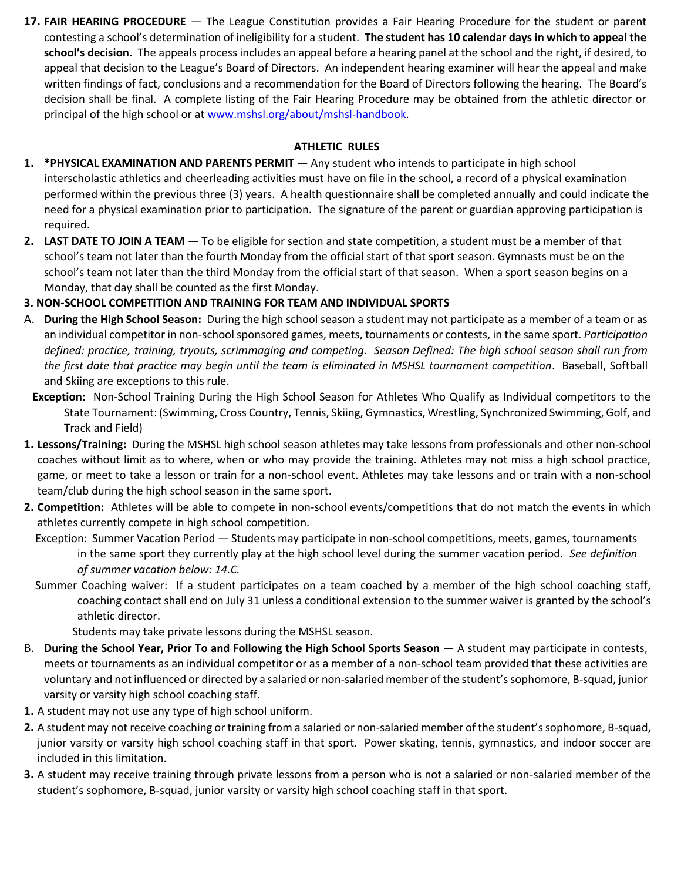**17. FAIR HEARING PROCEDURE** — The League Constitution provides a Fair Hearing Procedure for the student or parent contesting a school's determination of ineligibility for a student. **The student has 10 calendar days in which to appeal the school's decision**. The appeals process includes an appeal before a hearing panel at the school and the right, if desired, to appeal that decision to the League's Board of Directors. An independent hearing examiner will hear the appeal and make written findings of fact, conclusions and a recommendation for the Board of Directors following the hearing. The Board's decision shall be final. A complete listing of the Fair Hearing Procedure may be obtained from the athletic director or principal of the high school or [at www.mshsl.org/about/mshsl-handbook.](http://www.mshsl.org/about/mshsl-handbook)

#### **ATHLETIC RULES**

- **1. \*PHYSICAL EXAMINATION AND PARENTS PERMIT** Any student who intends to participate in high school interscholastic athletics and cheerleading activities must have on file in the school, a record of a physical examination performed within the previous three (3) years. A health questionnaire shall be completed annually and could indicate the need for a physical examination prior to participation. The signature of the parent or guardian approving participation is required.
- **2. LAST DATE TO JOIN A TEAM** To be eligible for section and state competition, a student must be a member of that school's team not later than the fourth Monday from the official start of that sport season. Gymnasts must be on the school's team not later than the third Monday from the official start of that season. When a sport season begins on a Monday, that day shall be counted as the first Monday.

### **3. NON-SCHOOL COMPETITION AND TRAINING FOR TEAM AND INDIVIDUAL SPORTS**

- A. **During the High School Season:** During the high school season a student may not participate as a member of a team or as an individual competitor in non-school sponsored games, meets, tournaments or contests, in the same sport. *Participation defined: practice, training, tryouts, scrimmaging and competing. Season Defined: The high school season shall run from the first date that practice may begin until the team is eliminated in MSHSL tournament competition*. Baseball, Softball and Skiing are exceptions to this rule.
- **Exception:** Non-School Training During the High School Season for Athletes Who Qualify as Individual competitors to the State Tournament: (Swimming, Cross Country, Tennis, Skiing, Gymnastics, Wrestling, Synchronized Swimming, Golf, and Track and Field)
- **1. Lessons/Training:** During the MSHSL high school season athletes may take lessons from professionals and other non-school coaches without limit as to where, when or who may provide the training. Athletes may not miss a high school practice, game, or meet to take a lesson or train for a non-school event. Athletes may take lessons and or train with a non-school team/club during the high school season in the same sport.
- **2. Competition:** Athletes will be able to compete in non-school events/competitions that do not match the events in which athletes currently compete in high school competition.
	- Exception: Summer Vacation Period Students may participate in non-school competitions, meets, games, tournaments in the same sport they currently play at the high school level during the summer vacation period. *See definition of summer vacation below: 14.C.*
	- Summer Coaching waiver: If a student participates on a team coached by a member of the high school coaching staff, coaching contact shall end on July 31 unless a conditional extension to the summer waiver is granted by the school's athletic director.

Students may take private lessons during the MSHSL season.

- B. **During the School Year, Prior To and Following the High School Sports Season**  A student may participate in contests, meets or tournaments as an individual competitor or as a member of a non-school team provided that these activities are voluntary and not influenced or directed by a salaried or non-salaried member of the student's sophomore, B-squad, junior varsity or varsity high school coaching staff.
- **1.** A student may not use any type of high school uniform.
- **2.** A student may not receive coaching or training from a salaried or non-salaried member of the student's sophomore, B-squad, junior varsity or varsity high school coaching staff in that sport. Power skating, tennis, gymnastics, and indoor soccer are included in this limitation.
- **3.** A student may receive training through private lessons from a person who is not a salaried or non-salaried member of the student's sophomore, B-squad, junior varsity or varsity high school coaching staff in that sport.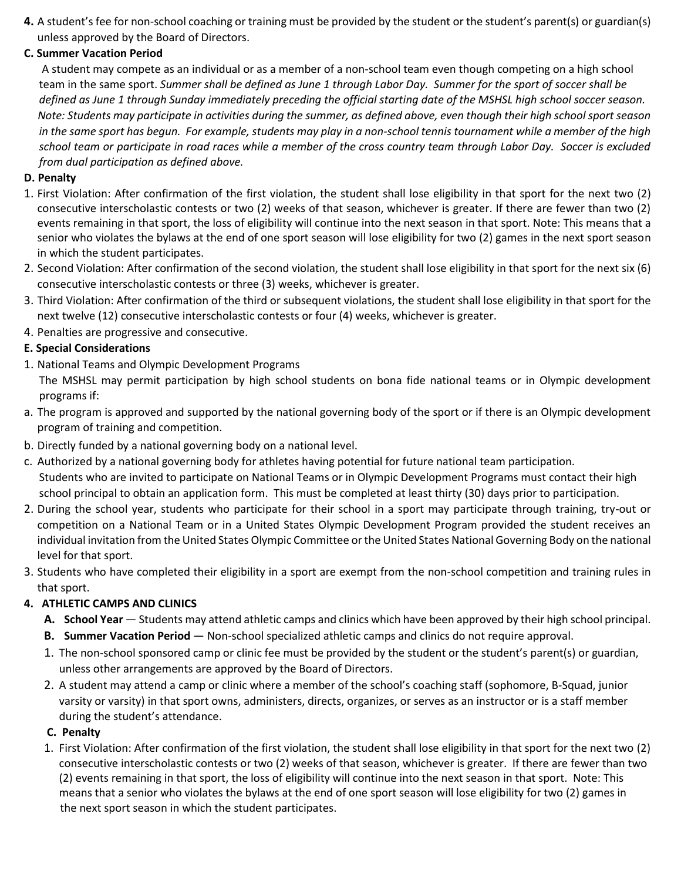**4.** A student's fee for non-school coaching or training must be provided by the student or the student's parent(s) or guardian(s) unless approved by the Board of Directors.

### **C. Summer Vacation Period**

A student may compete as an individual or as a member of a non-school team even though competing on a high school team in the same sport. *Summer shall be defined as June 1 through Labor Day. Summer for the sport of soccer shall be defined as June 1 through Sunday immediately preceding the official starting date of the MSHSL high school soccer season. Note: Students may participate in activities during the summer, as defined above, even though their high school sport season in the same sport has begun. For example, students may play in a non-school tennis tournament while a member of the high school team or participate in road races while a member of the cross country team through Labor Day. Soccer is excluded from dual participation as defined above.* 

### **D. Penalty**

- 1. First Violation: After confirmation of the first violation, the student shall lose eligibility in that sport for the next two (2) consecutive interscholastic contests or two (2) weeks of that season, whichever is greater. If there are fewer than two (2) events remaining in that sport, the loss of eligibility will continue into the next season in that sport. Note: This means that a senior who violates the bylaws at the end of one sport season will lose eligibility for two (2) games in the next sport season in which the student participates.
- 2. Second Violation: After confirmation of the second violation, the student shall lose eligibility in that sport for the next six (6) consecutive interscholastic contests or three (3) weeks, whichever is greater.
- 3. Third Violation: After confirmation of the third or subsequent violations, the student shall lose eligibility in that sport for the next twelve (12) consecutive interscholastic contests or four (4) weeks, whichever is greater.
- 4. Penalties are progressive and consecutive.

## **E. Special Considerations**

- 1. National Teams and Olympic Development Programs
	- The MSHSL may permit participation by high school students on bona fide national teams or in Olympic development programs if:
- a. The program is approved and supported by the national governing body of the sport or if there is an Olympic development program of training and competition.
- b. Directly funded by a national governing body on a national level.
- c. Authorized by a national governing body for athletes having potential for future national team participation. Students who are invited to participate on National Teams or in Olympic Development Programs must contact their high school principal to obtain an application form. This must be completed at least thirty (30) days prior to participation.
- 2. During the school year, students who participate for their school in a sport may participate through training, try-out or competition on a National Team or in a United States Olympic Development Program provided the student receives an individual invitation from the United States Olympic Committee or the United States National Governing Body on the national level for that sport.
- 3. Students who have completed their eligibility in a sport are exempt from the non-school competition and training rules in that sport.

# **4. ATHLETIC CAMPS AND CLINICS**

- **A. School Year**  Students may attend athletic camps and clinics which have been approved by their high school principal.
- **B.** Summer Vacation Period Non-school specialized athletic camps and clinics do not require approval.
- 1. The non-school sponsored camp or clinic fee must be provided by the student or the student's parent(s) or guardian, unless other arrangements are approved by the Board of Directors.
- 2. A student may attend a camp or clinic where a member of the school's coaching staff (sophomore, B-Squad, junior varsity or varsity) in that sport owns, administers, directs, organizes, or serves as an instructor or is a staff member during the student's attendance.

### **C. Penalty**

1. First Violation: After confirmation of the first violation, the student shall lose eligibility in that sport for the next two (2) consecutive interscholastic contests or two (2) weeks of that season, whichever is greater. If there are fewer than two (2) events remaining in that sport, the loss of eligibility will continue into the next season in that sport. Note: This means that a senior who violates the bylaws at the end of one sport season will lose eligibility for two (2) games in the next sport season in which the student participates.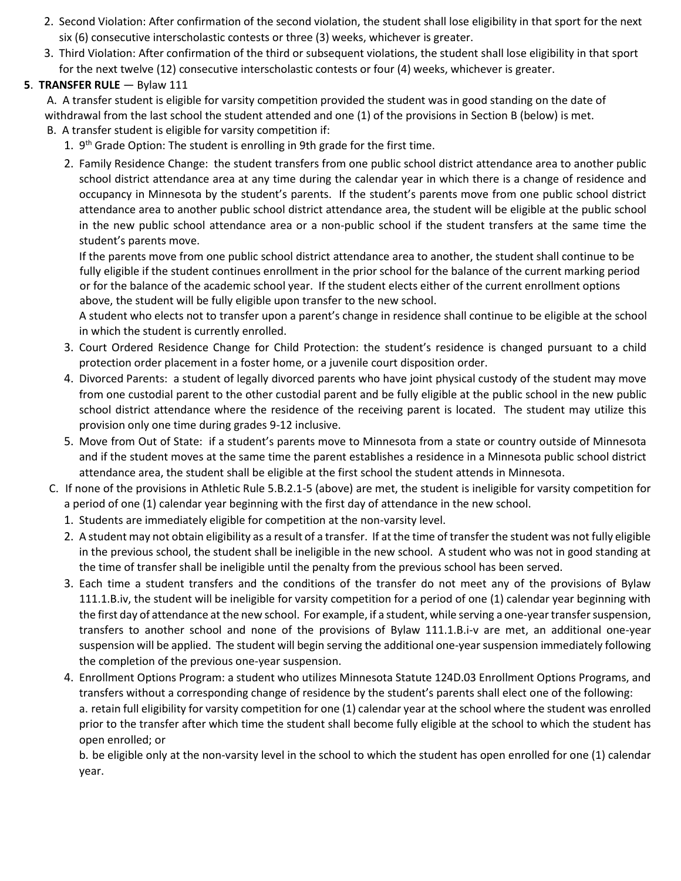- 2. Second Violation: After confirmation of the second violation, the student shall lose eligibility in that sport for the next six (6) consecutive interscholastic contests or three (3) weeks, whichever is greater.
- 3. Third Violation: After confirmation of the third or subsequent violations, the student shall lose eligibility in that sport for the next twelve (12) consecutive interscholastic contests or four (4) weeks, whichever is greater.

## **5**. **TRANSFER RULE** — Bylaw 111

A. A transfer student is eligible for varsity competition provided the student was in good standing on the date of withdrawal from the last school the student attended and one (1) of the provisions in Section B (below) is met.

- B. A transfer student is eligible for varsity competition if:
	- 1. 9<sup>th</sup> Grade Option: The student is enrolling in 9th grade for the first time.
	- 2. Family Residence Change: the student transfers from one public school district attendance area to another public school district attendance area at any time during the calendar year in which there is a change of residence and occupancy in Minnesota by the student's parents. If the student's parents move from one public school district attendance area to another public school district attendance area, the student will be eligible at the public school in the new public school attendance area or a non-public school if the student transfers at the same time the student's parents move.

If the parents move from one public school district attendance area to another, the student shall continue to be fully eligible if the student continues enrollment in the prior school for the balance of the current marking period or for the balance of the academic school year. If the student elects either of the current enrollment options above, the student will be fully eligible upon transfer to the new school.

A student who elects not to transfer upon a parent's change in residence shall continue to be eligible at the school in which the student is currently enrolled.

- 3. Court Ordered Residence Change for Child Protection: the student's residence is changed pursuant to a child protection order placement in a foster home, or a juvenile court disposition order.
- 4. Divorced Parents: a student of legally divorced parents who have joint physical custody of the student may move from one custodial parent to the other custodial parent and be fully eligible at the public school in the new public school district attendance where the residence of the receiving parent is located. The student may utilize this provision only one time during grades 9-12 inclusive.
- 5. Move from Out of State: if a student's parents move to Minnesota from a state or country outside of Minnesota and if the student moves at the same time the parent establishes a residence in a Minnesota public school district attendance area, the student shall be eligible at the first school the student attends in Minnesota.
- C. If none of the provisions in Athletic Rule 5.B.2.1-5 (above) are met, the student is ineligible for varsity competition for a period of one (1) calendar year beginning with the first day of attendance in the new school.
	- 1. Students are immediately eligible for competition at the non-varsity level.
	- 2. A student may not obtain eligibility as a result of a transfer. If at the time of transfer the student was not fully eligible in the previous school, the student shall be ineligible in the new school. A student who was not in good standing at the time of transfer shall be ineligible until the penalty from the previous school has been served.
	- 3. Each time a student transfers and the conditions of the transfer do not meet any of the provisions of Bylaw 111.1.B.iv, the student will be ineligible for varsity competition for a period of one (1) calendar year beginning with the first day of attendance at the new school. For example, if a student, while serving a one-year transfer suspension, transfers to another school and none of the provisions of Bylaw 111.1.B.i-v are met, an additional one-year suspension will be applied. The student will begin serving the additional one-year suspension immediately following the completion of the previous one-year suspension.
	- 4. Enrollment Options Program: a student who utilizes Minnesota Statute 124D.03 Enrollment Options Programs, and transfers without a corresponding change of residence by the student's parents shall elect one of the following: a. retain full eligibility for varsity competition for one (1) calendar year at the school where the student was enrolled prior to the transfer after which time the student shall become fully eligible at the school to which the student has open enrolled; or

b. be eligible only at the non-varsity level in the school to which the student has open enrolled for one (1) calendar year.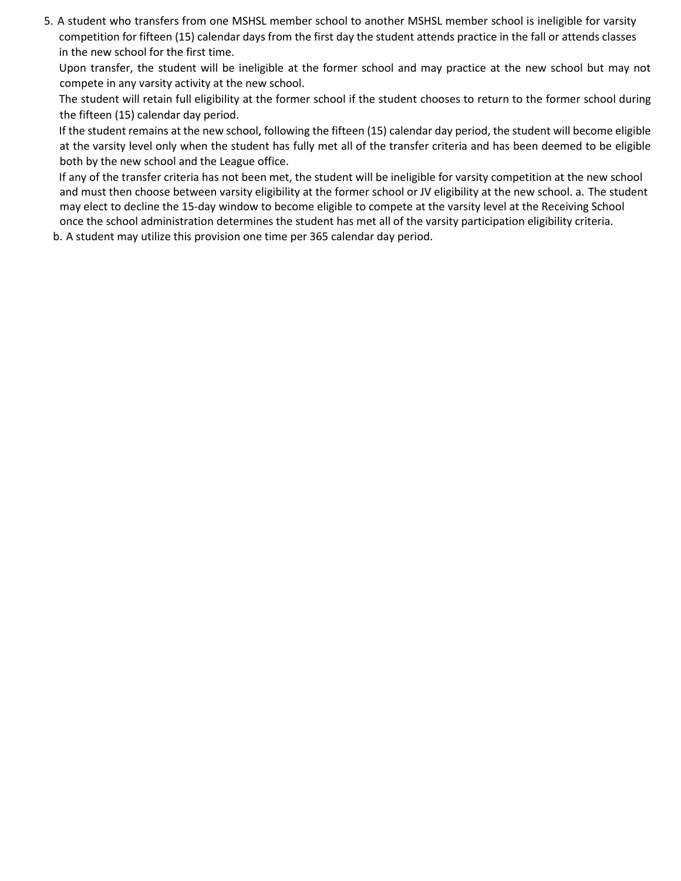5. A student who transfers from one MSHSL member school to another MSHSL member school is ineligible for varsity competition for fifteen (15) calendar days from the first day the student attends practice in the fall or attends classes in the new school for the first time.

Upon transfer, the student will be ineligible at the former school and may practice at the new school but may not compete in any varsity activity at the new school.

The student will retain full eligibility at the former school if the student chooses to return to the former school during the fifteen (15) calendar day period.

If the student remains at the new school, following the fifteen (15) calendar day period, the student will become eligible at the varsity level only when the student has fully met all of the transfer criteria and has been deemed to be eligible both by the new school and the League office.

If any of the transfer criteria has not been met, the student will be ineligible for varsity competition at the new school and must then choose between varsity eligibility at the former school or JV eligibility at the new school. a. The student may elect to decline the 15-day window to become eligible to compete at the varsity level at the Receiving School once the school administration determines the student has met all of the varsity participation eligibility criteria.

b. A student may utilize this provision one time per 365 calendar day period.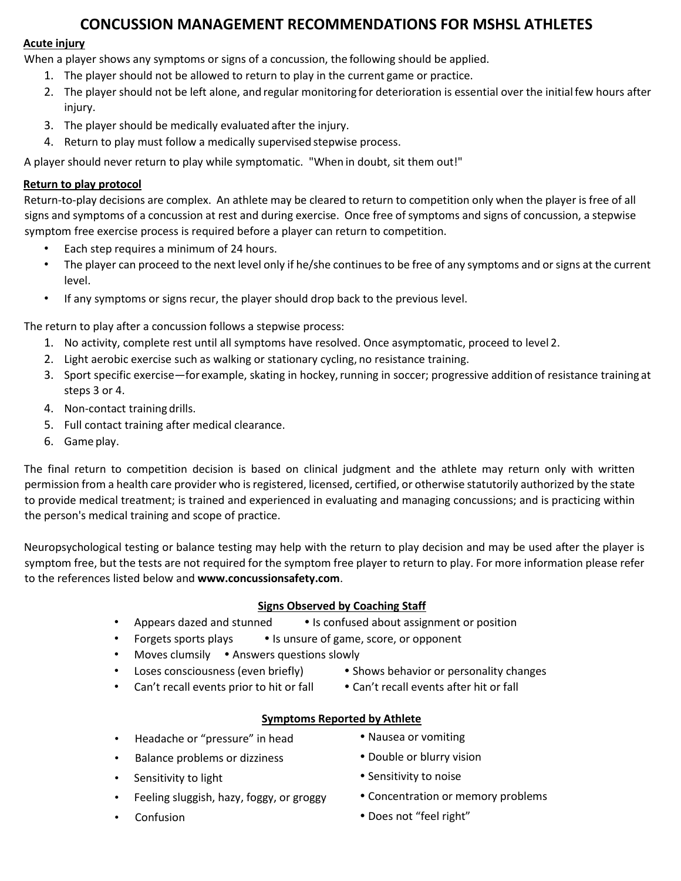# **CONCUSSION MANAGEMENT RECOMMENDATIONS FOR MSHSL ATHLETES**

## **Acute injury**

When a player shows any symptoms or signs of a concussion, the following should be applied.

- 1. The player should not be allowed to return to play in the current game or practice.
- 2. The player should not be left alone, and regular monitoring for deterioration is essential over the initialfew hours after injury.
- 3. The player should be medically evaluated after the injury.
- 4. Return to play must follow a medically supervised stepwise process.

A player should never return to play while symptomatic. "When in doubt, sit them out!"

# **Return to play protocol**

Return-to-play decisions are complex. An athlete may be cleared to return to competition only when the player is free of all signs and symptoms of a concussion at rest and during exercise. Once free of symptoms and signs of concussion, a stepwise symptom free exercise process is required before a player can return to competition.

- Each step requires a minimum of 24 hours.
- The player can proceed to the next level only if he/she continues to be free of any symptoms and or signs at the current level.
- If any symptoms or signs recur, the player should drop back to the previous level.

The return to play after a concussion follows a stepwise process:

- 1. No activity, complete rest until all symptoms have resolved. Once asymptomatic, proceed to level 2.
- 2. Light aerobic exercise such as walking or stationary cycling, no resistance training.
- 3. Sport specific exercise—for example, skating in hockey, running in soccer; progressive addition of resistance training at steps 3 or 4.
- 4. Non-contact training drills.
- 5. Full contact training after medical clearance.
- 6. Game play.

The final return to competition decision is based on clinical judgment and the athlete may return only with written permission from a health care provider who is registered, licensed, certified, or otherwise statutorily authorized by the state to provide medical treatment; is trained and experienced in evaluating and managing concussions; and is practicing within the person's medical training and scope of practice.

Neuropsychological testing or balance testing may help with the return to play decision and may be used after the player is symptom free, but the tests are not required for the symptom free player to return to play. For more information please refer to the references listed below and **www.concussionsafety.com**.

# **Signs Observed by Coaching Staff**

- Appears dazed and stunned Is confused about assignment or position
- Forgets sports plays Is unsure of game, score, or opponent
- Moves clumsily . Answers questions slowly
- Loses consciousness (even briefly) Shows behavior or personality changes
	-
- Can't recall events prior to hit or fall Can't recall events after hit or fall
- 

### **Symptoms Reported by Athlete**

- Headache or "pressure" in head <br>• Nausea or vomiting
- Balance problems or dizziness **•** Double or blurry vision
- 
- Feeling sluggish, hazy, foggy, or groggy **Concentration or memory problems**
- 
- 
- Sensitivity to light **Sensitivity to noise** Sensitivity to noise
	-
	- **Confusion Confusion Does not "feel right"**
-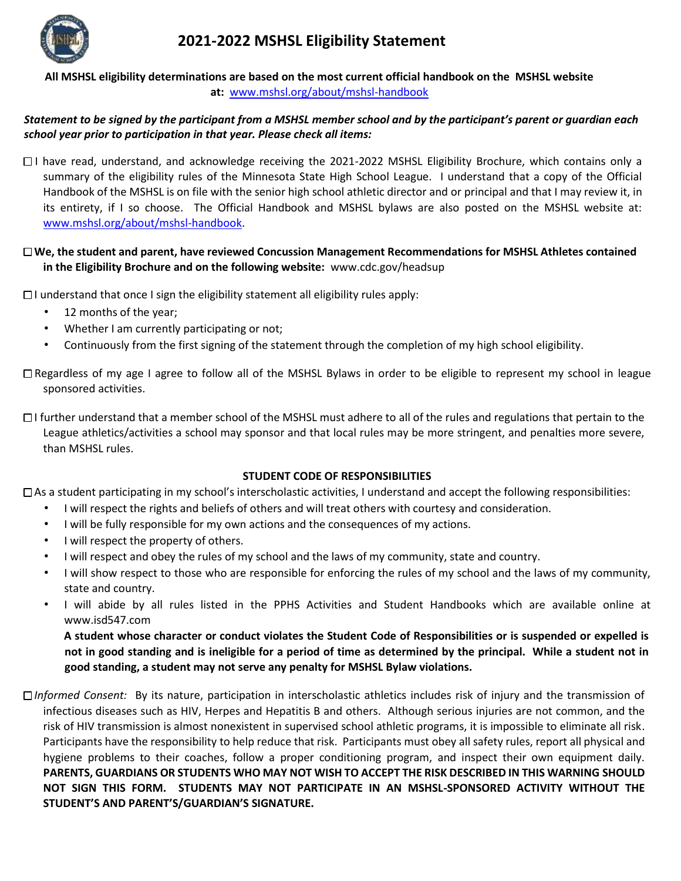

# **2021-2022 MSHSL Eligibility Statement**

**All MSHSL eligibility determinations are based on the most current official handbook on the MSHSL website at:** [www.mshsl.org/about/mshsl-handbook](http://www.mshsl.org/about/mshsl-handbook)

#### *Statement to be signed by the participant from a MSHSL member school and by the participant's parent or guardian each school year prior to participation in that year. Please check all items:*

 $\Box$  have read, understand, and acknowledge receiving the 2021-2022 MSHSL Eligibility Brochure, which contains only a summary of the eligibility rules of the Minnesota State High School League. I understand that a copy of the Official Handbook of the MSHSL is on file with the senior high school athletic director and or principal and that I may review it, in its entirety, if I so choose. The Official Handbook and MSHSL bylaws are also posted on the MSHSL website at: [www.mshsl.org/about/mshsl-handbook.](http://www.mshsl.org/about/mshsl-handbook)

## **We, the student and parent, have reviewed Concussion Management Recommendations for MSHSL Athletes contained in the Eligibility Brochure and on the following website:** www.cdc.gov/headsup

 $\Box$ I understand that once I sign the eligibility statement all eligibility rules apply:

- 12 months of the year;
- Whether I am currently participating or not;
- Continuously from the first signing of the statement through the completion of my high school eligibility.

Regardless of my age I agree to follow all of the MSHSL Bylaws in order to be eligible to represent my school in league sponsored activities.

 $\Box$  I further understand that a member school of the MSHSL must adhere to all of the rules and regulations that pertain to the League athletics/activities a school may sponsor and that local rules may be more stringent, and penalties more severe, than MSHSL rules.

### **STUDENT CODE OF RESPONSIBILITIES**

 $\Box$  As a student participating in my school's interscholastic activities, I understand and accept the following responsibilities:

- I will respect the rights and beliefs of others and will treat others with courtesy and consideration.
- I will be fully responsible for my own actions and the consequences of my actions.
- I will respect the property of others.
- I will respect and obey the rules of my school and the laws of my community, state and country.
- I will show respect to those who are responsible for enforcing the rules of my school and the laws of my community, state and country.
- I will abide by all rules listed in the PPHS Activities and Student Handbooks which are available online at www.isd547.com

**A student whose character or conduct violates the Student Code of Responsibilities or is suspended or expelled is not in good standing and is ineligible for a period of time as determined by the principal. While a student not in good standing, a student may not serve any penalty for MSHSL Bylaw violations.** 

*Informed Consent:* By its nature, participation in interscholastic athletics includes risk of injury and the transmission of infectious diseases such as HIV, Herpes and Hepatitis B and others. Although serious injuries are not common, and the risk of HIV transmission is almost nonexistent in supervised school athletic programs, it is impossible to eliminate all risk. Participants have the responsibility to help reduce that risk. Participants must obey all safety rules, report all physical and hygiene problems to their coaches, follow a proper conditioning program, and inspect their own equipment daily. **PARENTS, GUARDIANS OR STUDENTS WHO MAY NOT WISH TO ACCEPT THE RISK DESCRIBED IN THIS WARNING SHOULD NOT SIGN THIS FORM. STUDENTS MAY NOT PARTICIPATE IN AN MSHSL-SPONSORED ACTIVITY WITHOUT THE STUDENT'S AND PARENT'S/GUARDIAN'S SIGNATURE.**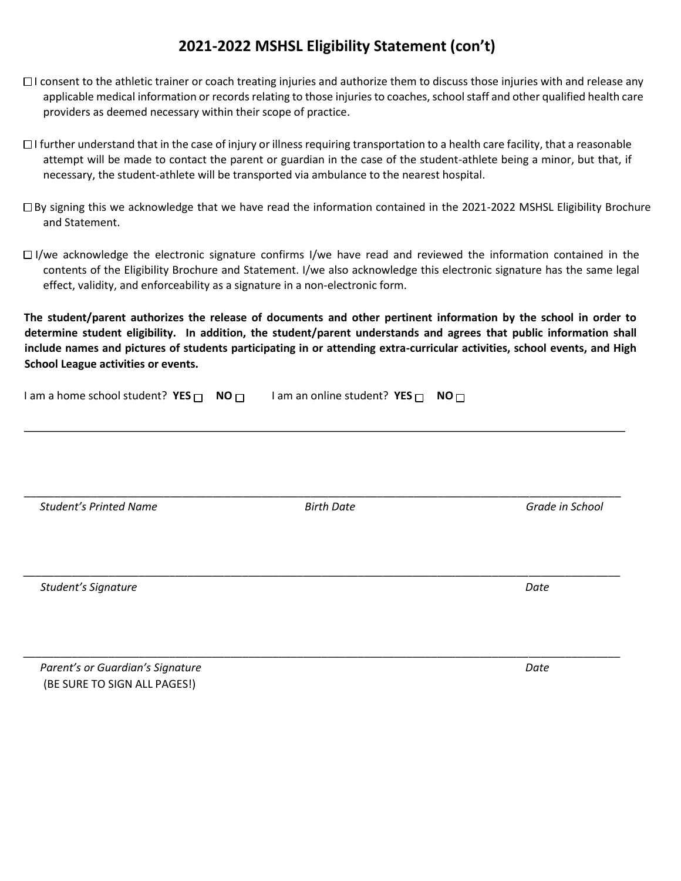# **2021-2022 MSHSL Eligibility Statement (con't)**

- $\Box$ I consent to the athletic trainer or coach treating injuries and authorize them to discuss those injuries with and release any applicable medical information or records relating to those injuries to coaches, school staff and other qualified health care providers as deemed necessary within their scope of practice.
- $\Box$ I further understand that in the case of injury or illness requiring transportation to a health care facility, that a reasonable attempt will be made to contact the parent or guardian in the case of the student-athlete being a minor, but that, if necessary, the student-athlete will be transported via ambulance to the nearest hospital.
- By signing this we acknowledge that we have read the information contained in the 2021-2022 MSHSL Eligibility Brochure and Statement.
- $\Box$  I/we acknowledge the electronic signature confirms I/we have read and reviewed the information contained in the contents of the Eligibility Brochure and Statement. I/we also acknowledge this electronic signature has the same legal effect, validity, and enforceability as a signature in a non-electronic form.

**The student/parent authorizes the release of documents and other pertinent information by the school in order to determine student eligibility. In addition, the student/parent understands and agrees that public information shall include names and pictures of students participating in or attending extra-curricular activities, school events, and High School League activities or events.** 

| I am a home school student? YES $\Box$<br>NO <sub>1</sub> | I am an online student? YES $\Box$ | NO <sub>1</sub> |
|-----------------------------------------------------------|------------------------------------|-----------------|
|                                                           |                                    |                 |
| <b>Student's Printed Name</b>                             | <b>Birth Date</b>                  | Grade in School |
| Student's Signature                                       |                                    | Date            |

\_\_\_\_\_\_\_\_\_\_\_\_\_\_\_\_\_\_\_\_\_\_\_\_\_\_\_\_\_\_\_\_\_\_\_\_\_\_\_\_\_\_\_\_\_\_\_\_\_\_\_\_\_\_\_\_\_\_\_\_\_\_\_\_\_\_\_\_\_\_\_\_\_\_\_\_\_\_\_\_\_\_\_\_\_\_\_\_\_\_\_\_\_\_\_\_\_\_

**Parent's or Guardian's Signature Date Access 2008 120 April 2008 12:00 Date** Date Date (BE SURE TO SIGN ALL PAGES!)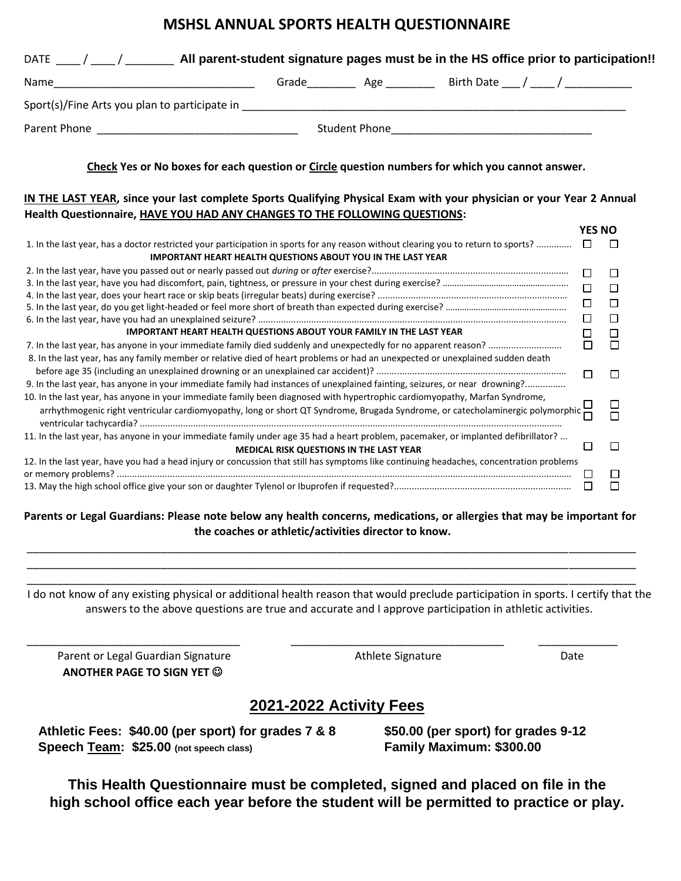# **MSHSL ANNUAL SPORTS HEALTH QUESTIONNAIRE**

| Name                                                                                                                                                                                                                                                          |                                         |  |        |                    |
|---------------------------------------------------------------------------------------------------------------------------------------------------------------------------------------------------------------------------------------------------------------|-----------------------------------------|--|--------|--------------------|
|                                                                                                                                                                                                                                                               |                                         |  |        |                    |
|                                                                                                                                                                                                                                                               |                                         |  |        |                    |
| Check Yes or No boxes for each question or Circle question numbers for which you cannot answer.                                                                                                                                                               |                                         |  |        |                    |
| IN THE LAST YEAR, since your last complete Sports Qualifying Physical Exam with your physician or your Year 2 Annual                                                                                                                                          |                                         |  |        |                    |
| Health Questionnaire, HAVE YOU HAD ANY CHANGES TO THE FOLLOWING QUESTIONS:                                                                                                                                                                                    |                                         |  |        |                    |
|                                                                                                                                                                                                                                                               |                                         |  |        | <b>YES NO</b>      |
| 1. In the last year, has a doctor restricted your participation in sports for any reason without clearing you to return to sports?                                                                                                                            |                                         |  | $\Box$ | □                  |
| <b>IMPORTANT HEART HEALTH QUESTIONS ABOUT YOU IN THE LAST YEAR</b>                                                                                                                                                                                            |                                         |  |        |                    |
|                                                                                                                                                                                                                                                               |                                         |  | $\Box$ | $\Box$             |
|                                                                                                                                                                                                                                                               |                                         |  | $\Box$ | $\Box$             |
|                                                                                                                                                                                                                                                               |                                         |  | $\Box$ |                    |
|                                                                                                                                                                                                                                                               |                                         |  |        | $\Box$             |
|                                                                                                                                                                                                                                                               |                                         |  | $\Box$ | $\Box$             |
| <b>IMPORTANT HEART HEALTH QUESTIONS ABOUT YOUR FAMILY IN THE LAST YEAR</b>                                                                                                                                                                                    |                                         |  | □      | □                  |
|                                                                                                                                                                                                                                                               |                                         |  | $\Box$ | $\Box$             |
| 8. In the last year, has any family member or relative died of heart problems or had an unexpected or unexplained sudden death                                                                                                                                |                                         |  |        |                    |
|                                                                                                                                                                                                                                                               |                                         |  | П      | $\Box$             |
| 9. In the last year, has anyone in your immediate family had instances of unexplained fainting, seizures, or near drowning?                                                                                                                                   |                                         |  |        |                    |
| 10. In the last year, has anyone in your immediate family been diagnosed with hypertrophic cardiomyopathy, Marfan Syndrome,<br>arrhythmogenic right ventricular cardiomyopathy, long or short QT Syndrome, Brugada Syndrome, or catecholaminergic polymorphic |                                         |  |        | $\sqcup$<br>$\Box$ |
| 11. In the last year, has anyone in your immediate family under age 35 had a heart problem, pacemaker, or implanted defibrillator?                                                                                                                            |                                         |  |        |                    |
|                                                                                                                                                                                                                                                               | MEDICAL RISK QUESTIONS IN THE LAST YEAR |  | ⊓      | □                  |
| 12. In the last year, have you had a head injury or concussion that still has symptoms like continuing headaches, concentration problems                                                                                                                      |                                         |  |        |                    |
|                                                                                                                                                                                                                                                               |                                         |  | $\Box$ | $\Box$             |
|                                                                                                                                                                                                                                                               |                                         |  | $\Box$ | П                  |

**Parents or Legal Guardians: Please note below any health concerns, medications, or allergies that may be important for the coaches or athletic/activities director to know.** 

\_\_\_\_\_\_\_\_\_\_\_\_\_\_\_\_\_\_\_\_\_\_\_\_\_\_\_\_\_\_\_\_\_\_\_\_\_\_\_\_\_\_\_\_\_\_\_\_\_\_\_\_\_\_\_\_\_\_\_\_\_\_\_\_\_\_\_\_\_\_\_\_\_\_\_\_\_\_\_\_\_\_\_\_\_\_\_\_\_\_\_\_\_\_\_\_\_\_\_\_ \_\_\_\_\_\_\_\_\_\_\_\_\_\_\_\_\_\_\_\_\_\_\_\_\_\_\_\_\_\_\_\_\_\_\_\_\_\_\_\_\_\_\_\_\_\_\_\_\_\_\_\_\_\_\_\_\_\_\_\_\_\_\_\_\_\_\_\_\_\_\_\_\_\_\_\_\_\_\_\_\_\_\_\_\_\_\_\_\_\_\_\_\_\_\_\_\_\_\_\_ \_\_\_\_\_\_\_\_\_\_\_\_\_\_\_\_\_\_\_\_\_\_\_\_\_\_\_\_\_\_\_\_\_\_\_\_\_\_\_\_\_\_\_\_\_\_\_\_\_\_\_\_\_\_\_\_\_\_\_\_\_\_\_\_\_\_\_\_\_\_\_\_\_\_\_\_\_\_\_\_\_\_\_\_\_\_\_\_\_\_\_\_\_\_\_\_\_\_\_\_

I do not know of any existing physical or additional health reason that would preclude participation in sports. I certify that the answers to the above questions are true and accurate and I approve participation in athletic activities.

\_\_\_\_\_\_\_\_\_\_\_\_\_\_\_\_\_\_\_\_\_\_\_\_\_\_\_\_\_\_\_\_\_\_\_ \_\_\_\_\_\_\_\_\_\_\_\_\_\_\_\_\_\_\_\_\_\_\_\_\_\_\_\_\_\_\_\_\_\_\_ \_\_\_\_\_\_\_\_\_\_\_\_\_

Parent or Legal Guardian Signature **Athlete Signature** Athlete Signature **Athlete Signature** Date  **ANOTHER PAGE TO SIGN YET** 

# **2021-2022 Activity Fees**

 **Athletic Fees: \$40.00 (per sport) for grades 7 & 8 \$50.00 (per sport) for grades 9-12 Speech Team: \$25.00 (not speech class) Family Maximum: \$300.00** 

**This Health Questionnaire must be completed, signed and placed on file in the high school office each year before the student will be permitted to practice or play.**